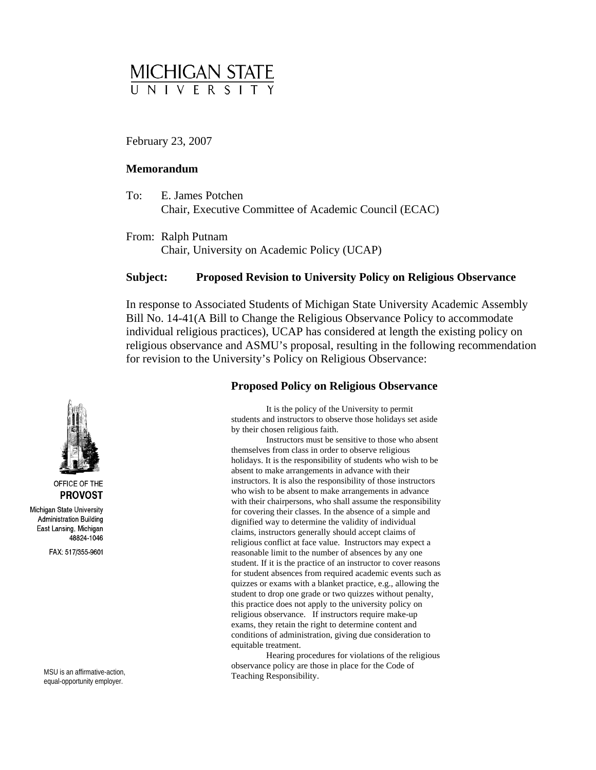

February 23, 2007

## **emorandum M**

- E. James Potchen Chair, Executive Committee of Academic Council (ECAC) To:
- From: Ralph Putnam Chair, University on Academic Policy (UCAP)

# **Subject: Proposed Revision to University Policy on Religious Observance**

In response to Associated Students of Michigan State University Academic Assembly religious observance and ASMU's proposal, resulting in the following recommendation Bill No. 14-41(A Bill to Change the Religious Observance Policy to accommodate individual religious practices), UCAP has considered at length the existing policy on for revision to the University's Policy on Religious Observance:

### **Proposed Policy on Religious Observance**

It is the policy of the University to permit students and instructors to observe those holidays set aside by their chosen religious faith.

Instructors must be sensitive to those who absent holidays. It is the responsibility of students who wish to be instructors. It is also the responsibility of those instructors with their chairpersons, who shall assume the responsibility religious conflict at face value. Instructors may expect a student. If it is the practice of an instructor to cover reasons conditions of administration, giving due consideration to themselves from class in order to observe religious absent to make arrangements in advance with their who wish to be absent to make arrangements in advance for covering their classes. In the absence of a simple and dignified way to determine the validity of individual claims, instructors generally should accept claims of reasonable limit to the number of absences by any one for student absences from required academic events such as quizzes or exams with a blanket practice, e.g., allowing the student to drop one grade or two quizzes without penalty, this practice does not apply to the university policy on religious observance. If instructors require make-up exams, they retain the right to determine content and equitable treatment.

Hearing procedures for violations of the religious observance policy are those in place for the Code of MSU is an affirmative-action,<br>
Teaching Responsibility.



OFFICE OF THE **PROVOST** 

Michigan State University **Administration Building** East Lansing, Michigan 48824-1046

FAX: 517/355-9601

equal-opportunity employer.